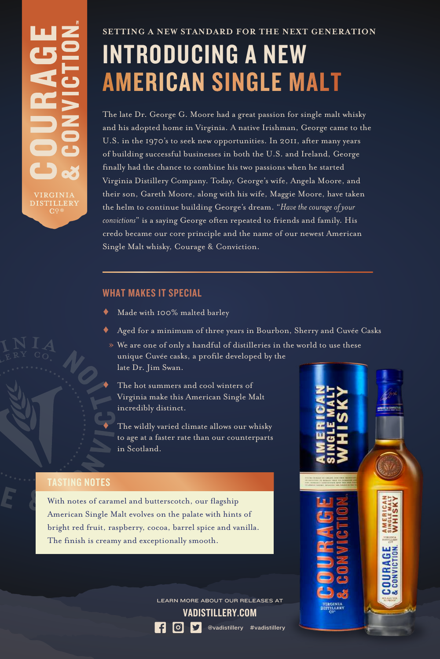# INTRODUCING A NEW **AMERICAN SINGLE MALT**

The late Dr. George G. Moore had a great passion for single malt whisky and his adopted home in Virginia. A native Irishman, George came to the U.S. in the 1970's to seek new opportunities. In 2011, after many years of building successful businesses in both the U.S. and Ireland, George finally had the chance to combine his two passions when he started Virginia Distillery Company. Today, George's wife, Angela Moore, and their son, Gareth Moore, along with his wife, Maggie Moore, have taken the helm to continue building George's dream. "*Have the courage of your convictions*" is a saying George often repeated to friends and family. His credo became our core principle and the name of our newest American Single Malt whisky, Courage & Conviction.

### WHAT MAKES IT SPECIAL

- Made with 100% malted barley
- Aged for a minimum of three years in Bourbon, Sherry and Cuvée Casks

» We are one of only a handful of distilleries in the world to use these unique Cuvée casks, a profile developed by the late Dr. Jim Swan.

The hot summers and cool winters of Virginia make this American Single Malt incredibly distinct.

The wildly varied climate allows our whisky to age at a faster rate than our counterparts in Scotland.

## TASTING NOTES

With notes of caramel and butterscotch, our flagship American Single Malt evolves on the palate with hints of bright red fruit, raspberry, cocoa, barrel spice and vanilla. The finish is creamy and exceptionally smooth.

> VADISTILLERY.COM LEARN MORE ABOUT OUR RELEASES AT



**RAGE**<br>WICTION

**COURA**